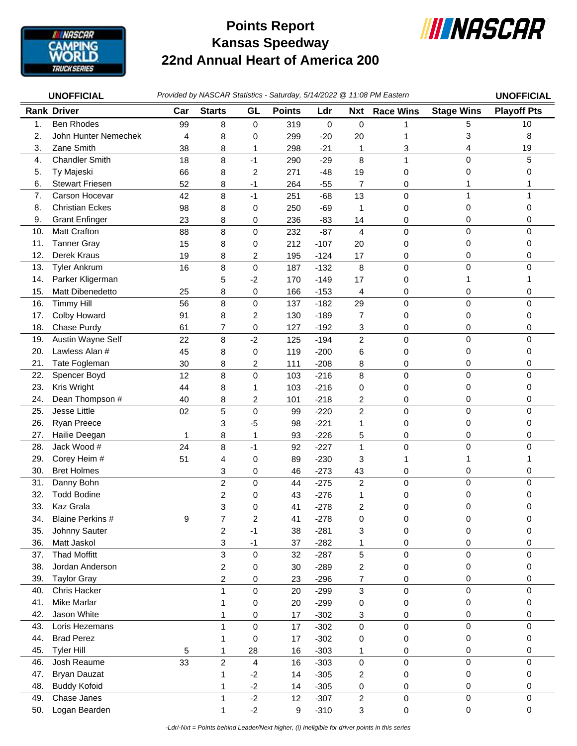

## **Kansas Speedway 22nd Annual Heart of America 200 Points Report**



| <b>UNOFFICIAL</b> |                                    | Provided by NASCAR Statistics - Saturday, 5/14/2022 @ 11:08 PM Eastern |                                           |                |               |                  |                |                  | <b>UNOFFICIAL</b> |                    |
|-------------------|------------------------------------|------------------------------------------------------------------------|-------------------------------------------|----------------|---------------|------------------|----------------|------------------|-------------------|--------------------|
|                   | <b>Rank Driver</b>                 | Car                                                                    | <b>Starts</b>                             | GL             | <b>Points</b> | Ldr              | <b>Nxt</b>     | <b>Race Wins</b> | <b>Stage Wins</b> | <b>Playoff Pts</b> |
| 1.                | <b>Ben Rhodes</b>                  | 99                                                                     | 8                                         | 0              | 319           | 0                | 0              | 1                | 5                 | 10                 |
| 2.                | John Hunter Nemechek               | 4                                                                      | 8                                         | 0              | 299           | $-20$            | 20             |                  | 3                 | 8                  |
| 3.                | Zane Smith                         | 38                                                                     | 8                                         | 1              | 298           | $-21$            | 1              | 3                | 4                 | 19                 |
| 4.                | <b>Chandler Smith</b>              | 18                                                                     | 8                                         | $-1$           | 290           | $-29$            | 8              | 1                | 0                 | 5                  |
| 5.                | Ty Majeski                         | 66                                                                     | 8                                         | $\overline{c}$ | 271           | $-48$            | 19             | 0                | 0                 | 0                  |
| 6.                | <b>Stewart Friesen</b>             | 52                                                                     | 8                                         | $-1$           | 264           | $-55$            | $\overline{7}$ | 0                |                   |                    |
| 7.                | Carson Hocevar                     | 42                                                                     | 8                                         | $-1$           | 251           | $-68$            | 13             | $\mathbf 0$      | 1                 |                    |
| 8.                | <b>Christian Eckes</b>             | 98                                                                     | 8                                         | 0              | 250           | $-69$            | $\mathbf{1}$   | 0                | 0                 | 0                  |
| 9.                | <b>Grant Enfinger</b>              | 23                                                                     | 8                                         | 0              | 236           | $-83$            | 14             | 0                | 0                 | 0                  |
| 10.               | <b>Matt Crafton</b>                | 88                                                                     | 8                                         | 0              | 232           | $-87$            | $\overline{4}$ | 0                | 0                 | $\Omega$           |
| 11.               | <b>Tanner Gray</b>                 | 15                                                                     | 8                                         | 0              | 212           | $-107$           | 20             | 0                | 0                 | 0                  |
| 12.               | Derek Kraus                        | 19                                                                     | 8                                         | 2              | 195           | $-124$           | 17             | 0                | 0                 | 0                  |
| 13.               | <b>Tyler Ankrum</b>                | 16                                                                     | 8                                         | $\mathbf 0$    | 187           | $-132$           | 8              | $\pmb{0}$        | 0                 | 0                  |
| 14.               | Parker Kligerman                   |                                                                        | 5                                         | $-2$           | 170           | $-149$           | 17             | 0                | 1                 |                    |
| 15.               | Matt Dibenedetto                   | 25                                                                     | 8                                         | 0              | 166           | $-153$           | 4              | 0                | 0                 | 0                  |
| 16.               | <b>Timmy Hill</b>                  | 56                                                                     | 8                                         | $\pmb{0}$      | 137           | $-182$           | 29             | $\pmb{0}$        | $\mathbf 0$       | $\Omega$           |
| 17.               | Colby Howard                       | 91                                                                     | 8                                         | 2              | 130           | $-189$           | 7              | 0                | 0                 | 0                  |
| 18.               | Chase Purdy                        | 61                                                                     | 7                                         | 0              | 127           | $-192$           | 3              | 0                | 0                 | 0                  |
| 19.               | Austin Wayne Self                  | 22                                                                     | 8                                         | $-2$           | 125           | $-194$           | $\overline{c}$ | 0                | 0                 | 0                  |
| 20.               | Lawless Alan #                     | 45                                                                     | 8                                         | 0              | 119           | $-200$           | 6              | 0                | 0                 | 0                  |
| 21.               | Tate Fogleman                      | 30                                                                     | 8                                         | $\overline{c}$ | 111           | $-208$           | 8              | 0                | 0                 | 0                  |
| 22.               | Spencer Boyd                       | 12                                                                     | 8                                         | $\mathbf 0$    | 103           | $-216$           | 8              | $\mathbf 0$      | $\mathbf 0$       | $\Omega$           |
| 23.               | Kris Wright                        | 44                                                                     | 8                                         | 1              | 103           | $-216$           | 0              | 0                | 0                 | 0                  |
| 24.               | Dean Thompson #                    | 40                                                                     | 8                                         | $\overline{c}$ | 101           | $-218$           | 2              | 0                | 0                 | 0                  |
| 25.               | Jesse Little                       | 02                                                                     | 5                                         | $\pmb{0}$      | 99            | $-220$           | $\overline{2}$ | $\mathbf 0$      | 0                 | $\Omega$           |
| 26.               | Ryan Preece                        |                                                                        | 3                                         | $-5$           | 98            | $-221$           | 1              | 0                | 0                 | 0                  |
| 27.               | Hailie Deegan                      | 1                                                                      | 8                                         | $\mathbf{1}$   | 93            | $-226$           | 5              | 0                | 0                 | 0                  |
| 28.               | Jack Wood #                        | 24                                                                     | 8                                         | $-1$           | 92            | $-227$           | 1              | $\pmb{0}$        | 0                 | $\Omega$           |
| 29.               | Corey Heim #                       | 51                                                                     | 4                                         | 0              | 89            | $-230$           | 3              | 1                | 1                 |                    |
| 30.               | <b>Bret Holmes</b>                 |                                                                        | 3                                         | 0              | 46            | $-273$           | 43             | 0                | 0                 | 0                  |
| 31.               | Danny Bohn                         |                                                                        | $\overline{c}$                            | $\pmb{0}$      | 44            | $-275$           | $\overline{c}$ | 0                | 0                 | 0                  |
| 32.               | <b>Todd Bodine</b>                 |                                                                        | 2                                         | 0              | 43            | $-276$           | 1              | 0                | 0                 | 0                  |
| 33.               | Kaz Grala                          |                                                                        | 3                                         | $\Omega$       | 41            | $-278$           | 2              | $\Omega$         | 0                 | 0                  |
| 34.               | Blaine Perkins #                   | 9                                                                      | 7                                         | $\overline{c}$ | 41            | $-278$           | 0              | 0                | 0                 | 0                  |
| 35.               | Johnny Sauter                      |                                                                        | $\overline{c}$                            | $-1$           | 38            | $-281$           | 3              | 0                | 0                 | 0                  |
| 36.               | Matt Jaskol<br><b>Thad Moffitt</b> |                                                                        | 3<br>3                                    | $-1$           | 37            | $-282$           | 1              | 0                | 0<br>0            | 0<br>$\Omega$      |
| 37.<br>38.        | Jordan Anderson                    |                                                                        |                                           | $\mathbf 0$    | 32            | $-287$           | 5              | $\pmb{0}$        | 0                 | 0                  |
| 39.               | <b>Taylor Gray</b>                 |                                                                        | $\overline{\mathbf{c}}$<br>$\overline{c}$ | 0<br>0         | 30<br>23      | $-289$<br>$-296$ | 2<br>7         | 0<br>0           | 0                 | 0                  |
| 40.               | Chris Hacker                       |                                                                        | 1                                         | 0              | 20            | $-299$           | 3              | $\pmb{0}$        | $\mathbf 0$       | 0                  |
| 41.               | Mike Marlar                        |                                                                        | 1                                         | 0              | 20            | $-299$           | 0              | 0                | 0                 | 0                  |
| 42.               | Jason White                        |                                                                        | 1                                         | 0              | 17            | $-302$           | 3              | 0                | 0                 | 0                  |
| 43.               | Loris Hezemans                     |                                                                        | 1                                         | $\mathbf 0$    | 17            | $-302$           | $\mathbf 0$    | $\pmb{0}$        | 0                 | $\mathbf 0$        |
| 44.               | <b>Brad Perez</b>                  |                                                                        | 1                                         | 0              | 17            | $-302$           | 0              | 0                | 0                 | 0                  |
| 45.               | <b>Tyler Hill</b>                  | 5                                                                      | 1                                         | 28             | 16            | $-303$           | 1              | 0                | 0                 | 0                  |
| 46.               | Josh Reaume                        | 33                                                                     | $\overline{c}$                            | 4              | 16            | $-303$           | 0              | $\pmb{0}$        | $\mathbf 0$       | $\Omega$           |
| 47.               | <b>Bryan Dauzat</b>                |                                                                        | 1                                         | $-2$           | 14            | $-305$           | 2              | 0                | 0                 | 0                  |
| 48.               | <b>Buddy Kofoid</b>                |                                                                        | 1                                         | $-2$           | 14            | $-305$           | 0              | 0                | 0                 | 0                  |
| 49.               | Chase Janes                        |                                                                        | 1                                         | $-2$           | 12            | $-307$           | $\overline{c}$ | $\pmb{0}$        | 0                 | 0                  |
| 50.               | Logan Bearden                      |                                                                        | 1                                         | $-2$           | $9\,$         | $-310$           | 3              | $\pmb{0}$        | $\pmb{0}$         | 0                  |